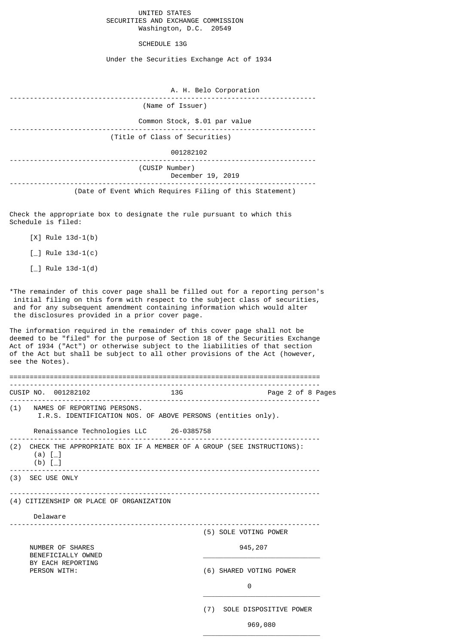# UNITED STATES SECURITIES AND EXCHANGE COMMISSION Washington, D.C. 20549

## SCHEDULE 13G

Under the Securities Exchange Act of 1934

| A. H. Belo Corporation                                  |
|---------------------------------------------------------|
| (Name of Issuer)                                        |
| Common Stock, \$.01 par value                           |
| (Title of Class of Securities)                          |
| 001282102                                               |
| (CUSIP Number)<br>December 19, 2019                     |
| (Date of Event Which Requires Filing of this Statement) |

Check the appropriate box to designate the rule pursuant to which this Schedule is filed:

- [X] Rule 13d-1(b)
- $[\ ]$  Rule 13d-1(c)
- $[\ ]$  Rule 13d-1(d)

\*The remainder of this cover page shall be filled out for a reporting person's initial filing on this form with respect to the subject class of securities, and for any subsequent amendment containing information which would alter the disclosures provided in a prior cover page.

The information required in the remainder of this cover page shall not be deemed to be "filed" for the purpose of Section 18 of the Securities Exchange Act of 1934 ("Act") or otherwise subject to the liabilities of that section of the Act but shall be subject to all other provisions of the Act (however, see the Notes).

|  |                                        | CUSIP NO. 001282102                      |  | <b>13G</b> |         | Page 2 of 8 Pages                                                        |  |  |  |
|--|----------------------------------------|------------------------------------------|--|------------|---------|--------------------------------------------------------------------------|--|--|--|
|  |                                        | (1) NAMES OF REPORTING PERSONS.          |  |            |         | I.R.S. IDENTIFICATION NOS. OF ABOVE PERSONS (entities only).             |  |  |  |
|  |                                        | Renaissance Technologies LLC 26-0385758  |  |            |         |                                                                          |  |  |  |
|  | (a) $[-]$<br>(b) $[-]$                 |                                          |  |            |         | (2) CHECK THE APPROPRIATE BOX IF A MEMBER OF A GROUP (SEE INSTRUCTIONS): |  |  |  |
|  |                                        | (3) SEC USE ONLY                         |  |            |         |                                                                          |  |  |  |
|  |                                        | (4) CITIZENSHIP OR PLACE OF ORGANIZATION |  |            |         |                                                                          |  |  |  |
|  | Delaware                               |                                          |  |            |         |                                                                          |  |  |  |
|  |                                        |                                          |  |            |         | (5) SOLE VOTING POWER                                                    |  |  |  |
|  | NUMBER OF SHARES<br>BENEFICIALLY OWNED |                                          |  |            | 945,207 |                                                                          |  |  |  |
|  | BY EACH REPORTING<br>PERSON WITH:      |                                          |  |            |         | (6) SHARED VOTING POWER                                                  |  |  |  |
|  |                                        |                                          |  |            |         | 0                                                                        |  |  |  |
|  |                                        |                                          |  |            | (7)     | SOLE DISPOSITIVE POWER                                                   |  |  |  |

 $\overline{\phantom{a}}$  , and the contract of the contract of the contract of the contract of the contract of the contract of the contract of the contract of the contract of the contract of the contract of the contract of the contrac

 $969,080$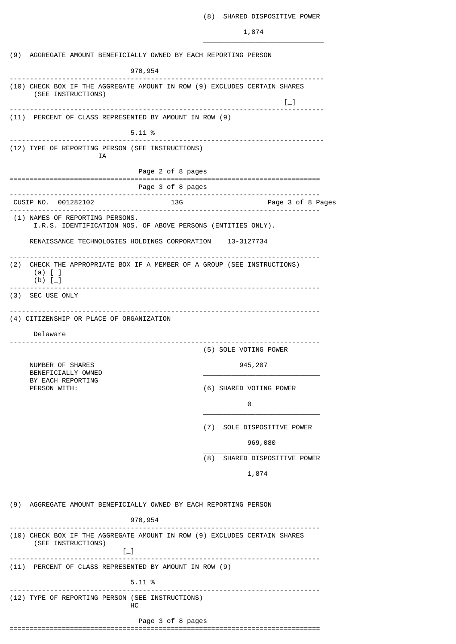## (8) SHARED DISPOSITIVE POWER

1,874

\_\_\_\_\_\_\_\_\_\_\_\_\_\_\_\_\_\_\_\_\_\_\_\_\_\_\_\_\_\_ (9) AGGREGATE AMOUNT BENEFICIALLY OWNED BY EACH REPORTING PERSON 970,954 ------------------------------------------------------------------------------ (10) CHECK BOX IF THE AGGREGATE AMOUNT IN ROW (9) EXCLUDES CERTAIN SHARES (SEE INSTRUCTIONS)  $\Box$ ------------------------------------------------------------------------------ (11) PERCENT OF CLASS REPRESENTED BY AMOUNT IN ROW (9) 5.11 % ------------------------------------------------------------------------------ (12) TYPE OF REPORTING PERSON (SEE INSTRUCTIONS) IA Page 2 of 8 pages ============================================================================= Page 3 of 8 pages ----------------------------------------------------------------------------- CUSIP NO. 001282102 13G Page 3 of 8 Pages ----------------------------------------------------------------------------- (1) NAMES OF REPORTING PERSONS. I.R.S. IDENTIFICATION NOS. OF ABOVE PERSONS (ENTITIES ONLY). RENAISSANCE TECHNOLOGIES HOLDINGS CORPORATION 13-3127734 ----------------------------------------------------------------------------- (2) CHECK THE APPROPRIATE BOX IF A MEMBER OF A GROUP (SEE INSTRUCTIONS)  $(a)$  [ $_{\_$ ] (b) [\_] ----------------------------------------------------------------------------- (3) SEC USE ONLY ----------------------------------------------------------------------------- (4) CITIZENSHIP OR PLACE OF ORGANIZATION Delaware ----------------------------------------------------------------------------- (5) SOLE VOTING POWER NUMBER OF SHARES 945, 207 BENEFICIALLY OWNED BY EACH REPORTING<br>PERSON WITH: (6) SHARED VOTING POWER 0 and 0 and 0 and 0 and 0 and 0 and 0 and 0 and 0 and 0 and 0 and 0 and 0 and 0 and 0 and 0 and 0 and 0 and 0 \_\_\_\_\_\_\_\_\_\_\_\_\_\_\_\_\_\_\_\_\_\_\_\_\_\_\_\_\_ (7) SOLE DISPOSITIVE POWER  $969,080$  $\frac{1}{\sqrt{2}}$  ,  $\frac{1}{\sqrt{2}}$  ,  $\frac{1}{\sqrt{2}}$  ,  $\frac{1}{\sqrt{2}}$  ,  $\frac{1}{\sqrt{2}}$  ,  $\frac{1}{\sqrt{2}}$  ,  $\frac{1}{\sqrt{2}}$  ,  $\frac{1}{\sqrt{2}}$  ,  $\frac{1}{\sqrt{2}}$  ,  $\frac{1}{\sqrt{2}}$  ,  $\frac{1}{\sqrt{2}}$  ,  $\frac{1}{\sqrt{2}}$  ,  $\frac{1}{\sqrt{2}}$  ,  $\frac{1}{\sqrt{2}}$  ,  $\frac{1}{\sqrt{2}}$ (8) SHARED DISPOSITIVE POWER 1,874 \_\_\_\_\_\_\_\_\_\_\_\_\_\_\_\_\_\_\_\_\_\_\_\_\_\_\_\_\_ (9) AGGREGATE AMOUNT BENEFICIALLY OWNED BY EACH REPORTING PERSON 970,954 ----------------------------------------------------------------------------- (10) CHECK BOX IF THE AGGREGATE AMOUNT IN ROW (9) EXCLUDES CERTAIN SHARES (SEE INSTRUCTIONS) [\_]<br>--------------------------------------------------------------------------------------------------------- (11) PERCENT OF CLASS REPRESENTED BY AMOUNT IN ROW (9) 5.11 % ----------------------------------------------------------------------------- (12) TYPE OF REPORTING PERSON (SEE INSTRUCTIONS) HC Page 3 of 8 pages =============================================================================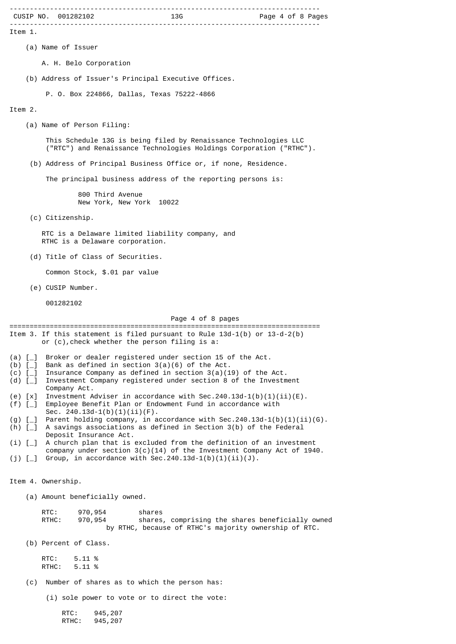|                                      | CUSIP NO. 001282102                                                                                                                                                   |
|--------------------------------------|-----------------------------------------------------------------------------------------------------------------------------------------------------------------------|
| Item 1.                              |                                                                                                                                                                       |
|                                      | (a) Name of Issuer                                                                                                                                                    |
|                                      | A. H. Belo Corporation                                                                                                                                                |
|                                      | (b) Address of Issuer's Principal Executive Offices.                                                                                                                  |
|                                      | P. O. Box 224866, Dallas, Texas 75222-4866                                                                                                                            |
| Item 2.                              |                                                                                                                                                                       |
|                                      | (a) Name of Person Filing:                                                                                                                                            |
|                                      | This Schedule 13G is being filed by Renaissance Technologies LLC<br>("RTC") and Renaissance Technologies Holdings Corporation ("RTHC").                               |
|                                      | (b) Address of Principal Business Office or, if none, Residence.                                                                                                      |
|                                      | The principal business address of the reporting persons is:                                                                                                           |
|                                      | 800 Third Avenue<br>New York, New York 10022                                                                                                                          |
|                                      | (c) Citizenship.                                                                                                                                                      |
|                                      | RTC is a Delaware limited liability company, and<br>RTHC is a Delaware corporation.                                                                                   |
|                                      | (d) Title of Class of Securities.                                                                                                                                     |
|                                      | Common Stock, \$.01 par value                                                                                                                                         |
|                                      | (e) CUSIP Number.                                                                                                                                                     |
|                                      | 001282102                                                                                                                                                             |
|                                      | Page 4 of 8 pages<br>=========================                                                                                                                        |
|                                      | Item 3. If this statement is filed pursuant to Rule $13d-1(b)$ or $13-d-2(b)$<br>or $(c)$ , check whether the person filing is a:                                     |
| $(a)$ $\lceil$ $\lceil$<br>(b) $[-]$ | Broker or dealer registered under section 15 of the Act.<br>Bank as defined in section $3(a)(6)$ of the Act.                                                          |
| $(c)$ [<br>(d) $[-]$                 | Insurance Company as defined in section $3(a)(19)$ of the Act.<br>Investment Company registered under section 8 of the Investment                                     |
| $(e)$ [x]                            | Company Act.<br>Investment Adviser in accordance with Sec.240.13d-1(b)(1)(ii)(E).                                                                                     |
| $(f)$ [_]                            | Employee Benefit Plan or Endowment Fund in accordance with<br>Sec. $240.13d-1(b)(1)(ii)(F)$ .                                                                         |
| $(g)$ [_]<br>$(h)$ $[-]$             | Parent holding company, in accordance with Sec. 240.13d-1(b)(1)(ii)(G).<br>A savings associations as defined in Section 3(b) of the Federal<br>Deposit Insurance Act. |
| (i) [                                | A church plan that is excluded from the definition of an investment<br>company under section $3(c)(14)$ of the Investment Company Act of 1940.                        |
| $(j)$ [                              | Group, in accordance with Sec. 240.13d-1(b)(1)(ii)(J).                                                                                                                |
|                                      | Item 4. Ownership.                                                                                                                                                    |
|                                      | (a) Amount beneficially owned.                                                                                                                                        |
|                                      | RTC:<br>970, 954<br>shares<br>shares, comprising the shares beneficially owned<br>RTHC:<br>970,954<br>by RTHC, because of RTHC's majority ownership of RTC.           |
|                                      | (b) Percent of Class.                                                                                                                                                 |
|                                      | RTC:<br>5.11 %<br>5.11 %<br>RTHC:                                                                                                                                     |
| (c)                                  | Number of shares as to which the person has:                                                                                                                          |
|                                      | (i) sole power to vote or to direct the vote:                                                                                                                         |
|                                      | RTC:<br>945, 207<br>RTHC:<br>945, 207                                                                                                                                 |
|                                      |                                                                                                                                                                       |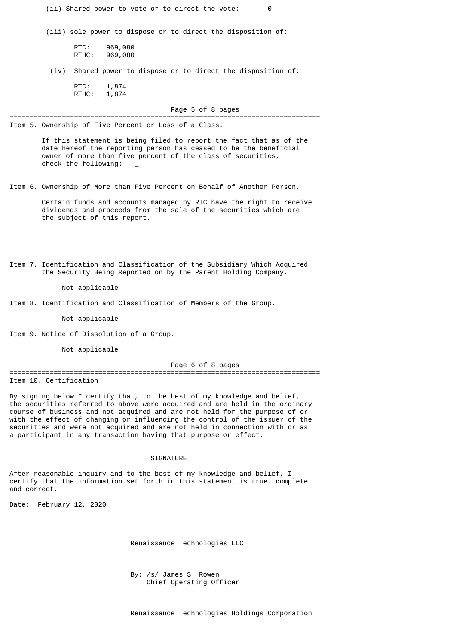(ii) Shared power to vote or to direct the vote: 0

(iii) sole power to dispose or to direct the disposition of:

RTC: 969,080 RTHC: 969,080

(iv) Shared power to dispose or to direct the disposition of:

RTC: 1,874 RTHC: 1,874

Page 5 of 8 pages

Item 5. Ownership of Five Percent or Less of a Class.

 If this statement is being filed to report the fact that as of the date hereof the reporting person has ceased to be the beneficial owner of more than five percent of the class of securities, check the following: [\_]

=============================================================================

Item 6. Ownership of More than Five Percent on Behalf of Another Person.

Certain funds and accounts managed by RTC have the right to receive dividends and proceeds from the sale of the securities which are the subject of this report.

Item 7. Identification and Classification of the Subsidiary Which Acquired the Security Being Reported on by the Parent Holding Company.

## Not applicable

Item 8. Identification and Classification of Members of the Group.

Not applicable

Item 9. Notice of Dissolution of a Group.

Not applicable

# Page 6 of 8 pages

============================================================================= Item 10. Certification

By signing below I certify that, to the best of my knowledge and belief, the securities referred to above were acquired and are held in the ordinary course of business and not acquired and are not held for the purpose of or with the effect of changing or influencing the control of the issuer of the securities and were not acquired and are not held in connection with or as a participant in any transaction having that purpose or effect.

#### **SIGNATURE**

After reasonable inquiry and to the best of my knowledge and belief, I certify that the information set forth in this statement is true, complete and correct.

Date: February 12, 2020

Renaissance Technologies LLC

 By: /s/ James S. Rowen Chief Operating Officer